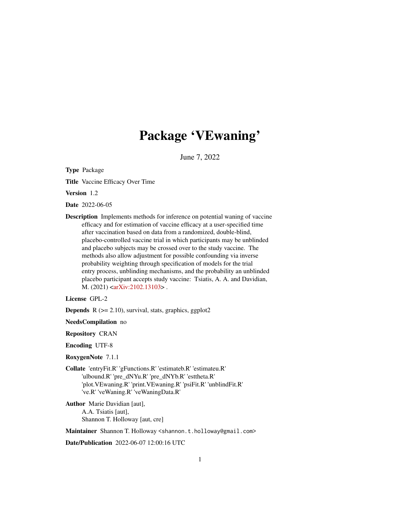## Package 'VEwaning'

June 7, 2022

Type Package

Title Vaccine Efficacy Over Time

Version 1.2

Date 2022-06-05

Description Implements methods for inference on potential waning of vaccine efficacy and for estimation of vaccine efficacy at a user-specified time after vaccination based on data from a randomized, double-blind, placebo-controlled vaccine trial in which participants may be unblinded and placebo subjects may be crossed over to the study vaccine. The methods also allow adjustment for possible confounding via inverse probability weighting through specification of models for the trial entry process, unblinding mechanisms, and the probability an unblinded placebo participant accepts study vaccine: Tsiatis, A. A. and Davidian, M. (2021) [<arXiv:2102.13103>](https://arxiv.org/abs/2102.13103).

#### License GPL-2

**Depends**  $R$  ( $>= 2.10$ ), survival, stats, graphics, ggplot2

NeedsCompilation no

Repository CRAN

Encoding UTF-8

RoxygenNote 7.1.1

Collate 'entryFit.R' 'gFunctions.R' 'estimateb.R' 'estimateu.R' 'ulbound.R' 'pre\_dNYu.R' 'pre\_dNYb.R' 'esttheta.R' 'plot.VEwaning.R' 'print.VEwaning.R' 'psiFit.R' 'unblindFit.R' 've.R' 'veWaning.R' 'veWaningData.R'

Author Marie Davidian [aut], A.A. Tsiatis [aut], Shannon T. Holloway [aut, cre]

Maintainer Shannon T. Holloway <shannon.t.holloway@gmail.com>

Date/Publication 2022-06-07 12:00:16 UTC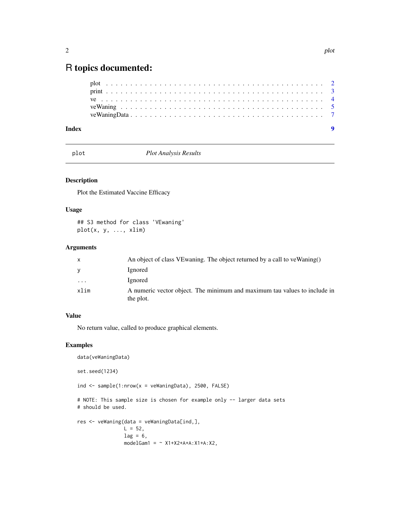### <span id="page-1-0"></span>R topics documented:

plot *Plot Analysis Results*

#### Description

Plot the Estimated Vaccine Efficacy

#### Usage

## S3 method for class 'VEwaning' plot(x, y, ..., xlim)

#### Arguments

| X       | An object of class VE waning. The object returned by a call to ve Waning()             |
|---------|----------------------------------------------------------------------------------------|
| V       | Ignored                                                                                |
| $\cdot$ | Ignored                                                                                |
| xlim    | A numeric vector object. The minimum and maximum tau values to include in<br>the plot. |

#### Value

No return value, called to produce graphical elements.

#### Examples

```
data(veWaningData)
set.seed(1234)
ind \le sample(1:nrow(x = veWaningData), 2500, FALSE)
# NOTE: This sample size is chosen for example only -- larger data sets
# should be used.
res <- veWaning(data = veWaningData[ind,],
               L = 52,lag = 6,modelGam1 = ~ X1+X2+A+A:X1+A:X2,
```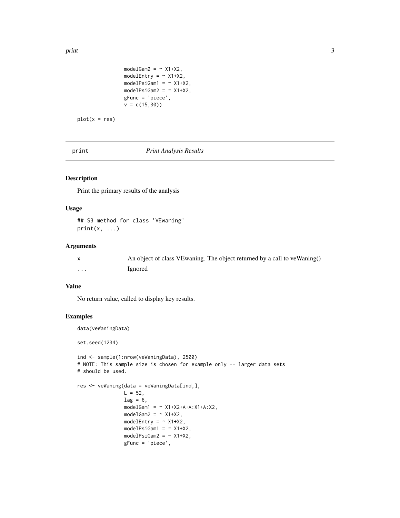<span id="page-2-0"></span>print 3

```
modelGam2 = ~\sim X1+X2,
modelEntry = \sim X1+X2,
modelPsiGam1 = ~ X1+X2,modelPsiGam2 = ~\sim X1+X2,
gFunc = 'piece',
v = c(15, 30)
```

```
plot(x = res)
```
print *Print Analysis Results*

#### Description

Print the primary results of the analysis

#### Usage

## S3 method for class 'VEwaning'  $print(x, \ldots)$ 

#### Arguments

|   | An object of class VE waning. The object returned by a call to ve Waning() |
|---|----------------------------------------------------------------------------|
| . | Ignored                                                                    |

#### Value

No return value, called to display key results.

#### Examples

data(veWaningData)

set.seed(1234)

```
ind <- sample(1:nrow(veWaningData), 2500)
# NOTE: This sample size is chosen for example only -- larger data sets
# should be used.
```

```
res <- veWaning(data = veWaningData[ind,],
                L = 52,lag = 6,
                modelGam1 = ~ X1+X2+A+A:X1+A:X2,modelGam2 = ~ X1+X2,modelEntry = \sim X1+X2,
                modelPsiGam1 = ~\sim X1+X2,
                modelPsiGam2 = ~\sim X1+X2,
                gFunc = 'piece',
```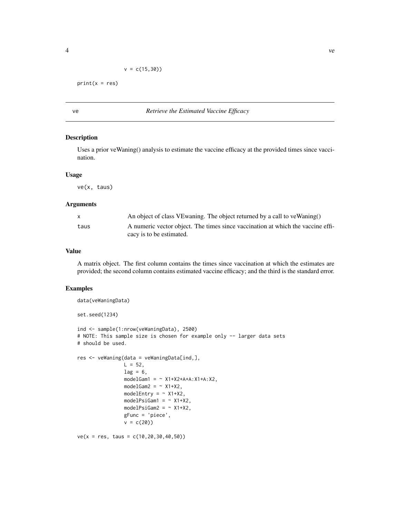```
v = c(15, 30)
```
<span id="page-3-0"></span> $print(x = res)$ 

#### ve *Retrieve the Estimated Vaccine Efficacy*

#### Description

Uses a prior veWaning() analysis to estimate the vaccine efficacy at the provided times since vaccination.

#### Usage

ve(x, taus)

#### Arguments

| X    | An object of class VE waning. The object returned by a call to ve Waning()                                  |
|------|-------------------------------------------------------------------------------------------------------------|
| taus | A numeric vector object. The times since vaccination at which the vaccine effi-<br>cacy is to be estimated. |

#### Value

A matrix object. The first column contains the times since vaccination at which the estimates are provided; the second column contains estimated vaccine efficacy; and the third is the standard error.

#### Examples

```
data(veWaningData)
set.seed(1234)
ind <- sample(1:nrow(veWaningData), 2500)
# NOTE: This sample size is chosen for example only -- larger data sets
# should be used.
res <- veWaning(data = veWaningData[ind,],
                L = 52,lag = 6,
                modelGam1 = ~ X1+X2+A+A:X1+A:X2,modelGam2 = ~\sim X1+X2,
                modelEntry = \sim X1+X2,
                modelPsiGam1 = ~\sim X1+X2,
                modelPsiGam2 = ~\sim X1+X2,
                gFunc = 'piece',
                v = c(20)ve(x = res, taus = c(10, 20, 30, 40, 50))
```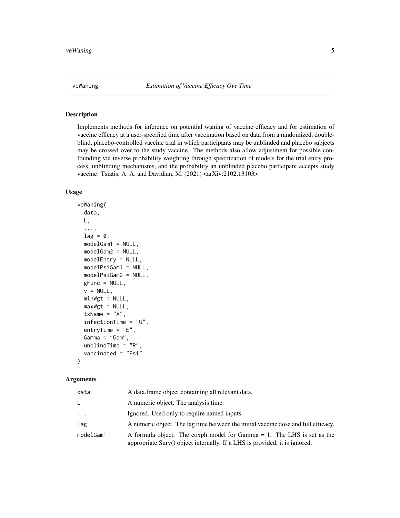<span id="page-4-0"></span>

#### Description

Implements methods for inference on potential waning of vaccine efficacy and for estimation of vaccine efficacy at a user-specified time after vaccination based on data from a randomized, doubleblind, placebo-controlled vaccine trial in which participants may be unblinded and placebo subjects may be crossed over to the study vaccine. The methods also allow adjustment for possible confounding via inverse probability weighting through specification of models for the trial entry process, unblinding mechanisms, and the probability an unblinded placebo participant accepts study vaccine: Tsiatis, A. A. and Davidian, M.  $(2021)$  <arXiv:2102.13103>

#### Usage

```
veWaning(
  data,
 L,
  ...,
  lag = 0,
 modelGam1 = NULL,
 modelGam2 = NULL,
 modelEntry = NULL,
 modelPsiGam1 = NULL,
 modelPsiGam2 = NULL,
  gFunc = NULL,
  v = NULL,minWgt = NULL,maxWgt = NULL,txName = "A",
  infectionTime = "U",
  entryTime = "E",Gamma = "Gam",
  unblindTime = "R"vaccinated = "Psi"
```
#### Arguments

)

| data      | A data frame object containing all relevant data.                                                                                                       |
|-----------|---------------------------------------------------------------------------------------------------------------------------------------------------------|
| L.        | A numeric object. The analysis time.                                                                                                                    |
| $\cdots$  | Ignored. Used only to require named inputs.                                                                                                             |
| lag       | A numeric object. The lag time between the initial vaccine dose and full efficacy.                                                                      |
| modelGam1 | A formula object. The coxph model for Gamma $= 1$ . The LHS is set as the<br>appropriate Surv() object internally. If a LHS is provided, it is ignored. |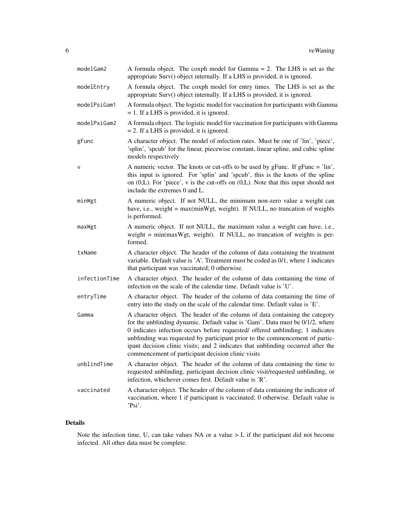| modelGam2     | A formula object. The coxph model for Gamma $= 2$ . The LHS is set as the<br>appropriate Surv() object internally. If a LHS is provided, it is ignored.                                                                                                                                                                                                                                                                                                                   |
|---------------|---------------------------------------------------------------------------------------------------------------------------------------------------------------------------------------------------------------------------------------------------------------------------------------------------------------------------------------------------------------------------------------------------------------------------------------------------------------------------|
| modelEntry    | A formula object. The coxph model for entry times. The LHS is set as the<br>appropriate Surv() object internally. If a LHS is provided, it is ignored.                                                                                                                                                                                                                                                                                                                    |
| modelPsiGam1  | A formula object. The logistic model for vaccination for participants with Gamma<br>$= 1$ . If a LHS is provided, it is ignored.                                                                                                                                                                                                                                                                                                                                          |
| modelPsiGam2  | A formula object. The logistic model for vaccination for participants with Gamma<br>$= 2$ . If a LHS is provided, it is ignored.                                                                                                                                                                                                                                                                                                                                          |
| gFunc         | A character object. The model of infection rates. Must be one of 'lin', 'piece',<br>'splin', 'spcub' for the linear, piecewise constant, linear spline, and cubic spline<br>models respectively                                                                                                                                                                                                                                                                           |
| $\vee$        | A numeric vector. The knots or cut-offs to be used by gFunc. If gFunc = 'lin',<br>this input is ignored. For 'splin' and 'spcub', this is the knots of the spline<br>on $(0,L)$ . For 'piece', v is the cut-offs on $(0,L)$ . Note that this input should not<br>include the extremes 0 and L.                                                                                                                                                                            |
| minWgt        | A numeric object. If not NULL, the minimum non-zero value a weight can<br>have, i.e., weight = max(minWgt, weight). If NULL, no truncation of weights<br>is performed.                                                                                                                                                                                                                                                                                                    |
| maxWgt        | A numeric object. If not NULL, the maximum value a weight can have, i.e.,<br>weight $= min(maxWgt, weight)$ . If NULL, no truncation of weights is per-<br>formed.                                                                                                                                                                                                                                                                                                        |
| txName        | A character object. The header of the column of data containing the treatment<br>variable. Default value is 'A'. Treatment must be coded as 0/1, where 1 indicates<br>that participant was vaccinated; 0 otherwise.                                                                                                                                                                                                                                                       |
| infectionTime | A character object. The header of the column of data containing the time of<br>infection on the scale of the calendar time. Default value is 'U'.                                                                                                                                                                                                                                                                                                                         |
| entryTime     | A character object. The header of the column of data containing the time of<br>entry into the study on the scale of the calendar time. Default value is 'E'.                                                                                                                                                                                                                                                                                                              |
| Gamma         | A character object. The header of the column of data containing the category<br>for the unblinding dynamic. Default value is 'Gam'. Data must be 0/1/2, where<br>0 indicates infection occurs before requested/ offered unblinding; 1 indicates<br>unblinding was requested by participant prior to the commencement of partic-<br>ipant decision clinic visits; and 2 indicates that unblinding occurred after the<br>commencement of participant decision clinic visits |
| unblindTime   | A character object. The header of the column of data containing the time to<br>requested unblinding, participant decision clinic visit/requested unblinding, or<br>infection, whichever comes first. Default value is 'R'.                                                                                                                                                                                                                                                |
| vaccinated    | A character object. The header of the column of data containing the indicator of<br>vaccination, where 1 if participant is vaccinated; 0 otherwise. Default value is<br>'Psi'.                                                                                                                                                                                                                                                                                            |

#### Details

Note the infection time, U, can take values NA or a value > L if the participant did not become infected. All other data must be complete.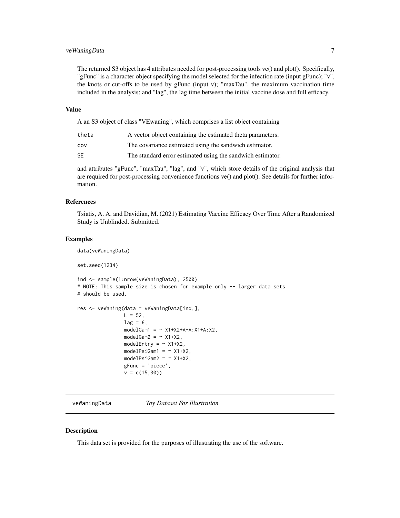#### <span id="page-6-0"></span>veWaningData 7

The returned S3 object has 4 attributes needed for post-processing tools ve() and plot(). Specifically, "gFunc" is a character object specifying the model selected for the infection rate (input gFunc); "v", the knots or cut-offs to be used by gFunc (input v); "maxTau", the maximum vaccination time included in the analysis; and "lag", the lag time between the initial vaccine dose and full efficacy.

#### Value

A an S3 object of class "VEwaning", which comprises a list object containing

| theta | A vector object containing the estimated theta parameters. |
|-------|------------------------------------------------------------|
| cov   | The covariance estimated using the sandwich estimator.     |
| SE    | The standard error estimated using the sandwich estimator. |

and attributes "gFunc", "maxTau", "lag", and "v", which store details of the original analysis that are required for post-processing convenience functions ve() and plot(). See details for further information.

#### References

Tsiatis, A. A. and Davidian, M. (2021) Estimating Vaccine Efficacy Over Time After a Randomized Study is Unblinded. Submitted.

#### Examples

data(veWaningData)

```
set.seed(1234)
```

```
ind <- sample(1:nrow(veWaningData), 2500)
# NOTE: This sample size is chosen for example only -- larger data sets
# should be used.
res <- veWaning(data = veWaningData[ind,],
```

```
L = 52,
lag = 6,
modelGam1 = ~ X1+X2+A+A:X1+A:X2,modelGam2 = ~\sim X1+X2,
modelEntry = \sim X1+X2,
modelPsiGam1 = ~ X1+X2,modelPsiGam2 = ~\sim X1+X2,
gFunc = 'piece',
v = c(15, 30)
```
veWaningData *Toy Dataset For Illustration*

#### **Description**

This data set is provided for the purposes of illustrating the use of the software.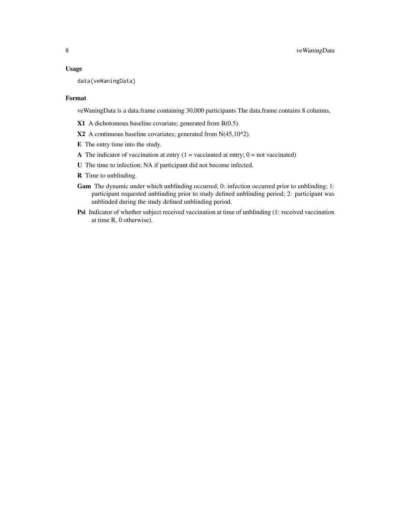#### Usage

```
data(veWaningData)
```
#### Format

veWaningData is a data.frame containing 30,000 participants The data.frame contains 8 columns,

X1 A dichotomous baseline covariate; generated from B(0.5).

 $X2$  A continuous baseline covariates; generated from N(45,10^2).

E The entry time into the study.

A The indicator of vaccination at entry  $(1 = vacuum)$  vaccinated at entry;  $0 = not$  vaccinated)

U The time to infection; NA if participant did not become infected.

- R Time to unblinding.
- Gam The dynamic under which unblinding occurred; 0: infection occurred prior to unblinding; 1: participant requested unblinding prior to study defined unblinding period; 2: participant was unblinded during the study defined unblinding period.
- Psi Indicator of whether subject received vaccination at time of unblinding (1: received vaccination at time R, 0 otherwise).